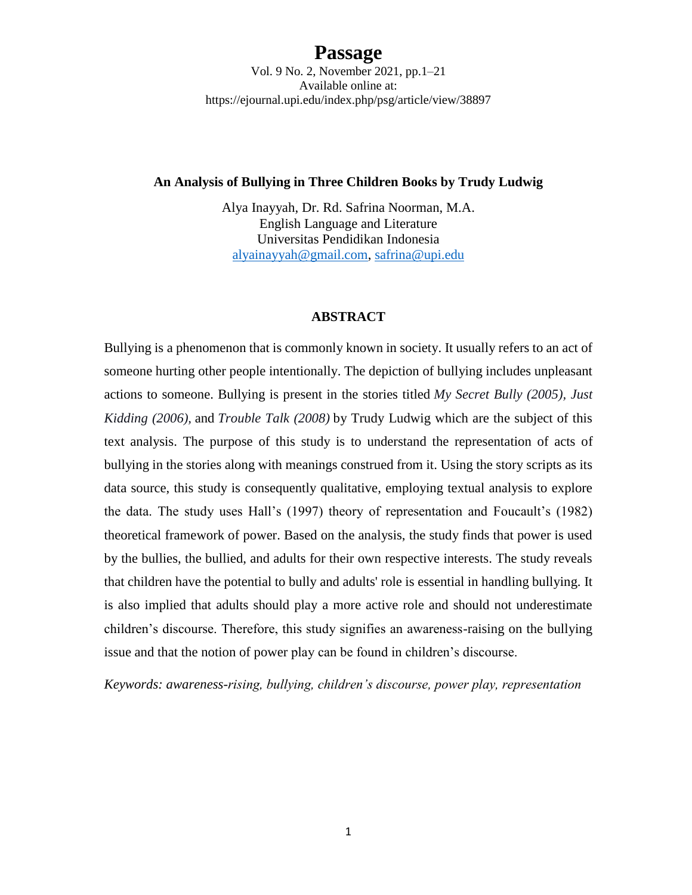Vol. 9 No. 2, November 2021, pp.1–21 Available online at: https://ejournal.upi.edu/index.php/psg/article/view/38897

#### **An Analysis of Bullying in Three Children Books by Trudy Ludwig**

Alya Inayyah, Dr. Rd. Safrina Noorman, M.A. English Language and Literature Universitas Pendidikan Indonesia [alyainayyah@gmail.com,](mailto:alyainayyah@gmail.com) [safrina@upi.edu](mailto:safrina@upi.edu)

### **ABSTRACT**

Bullying is a phenomenon that is commonly known in society. It usually refers to an act of someone hurting other people intentionally. The depiction of bullying includes unpleasant actions to someone. Bullying is present in the stories titled *My Secret Bully (2005), Just Kidding (2006),* and *Trouble Talk (2008)* by Trudy Ludwig which are the subject of this text analysis. The purpose of this study is to understand the representation of acts of bullying in the stories along with meanings construed from it. Using the story scripts as its data source, this study is consequently qualitative, employing textual analysis to explore the data. The study uses Hall's (1997) theory of representation and Foucault's (1982) theoretical framework of power. Based on the analysis, the study finds that power is used by the bullies, the bullied, and adults for their own respective interests. The study reveals that children have the potential to bully and adults' role is essential in handling bullying. It is also implied that adults should play a more active role and should not underestimate children's discourse. Therefore, this study signifies an awareness-raising on the bullying issue and that the notion of power play can be found in children's discourse.

*Keywords: awareness-rising, bullying, children's discourse, power play, representation*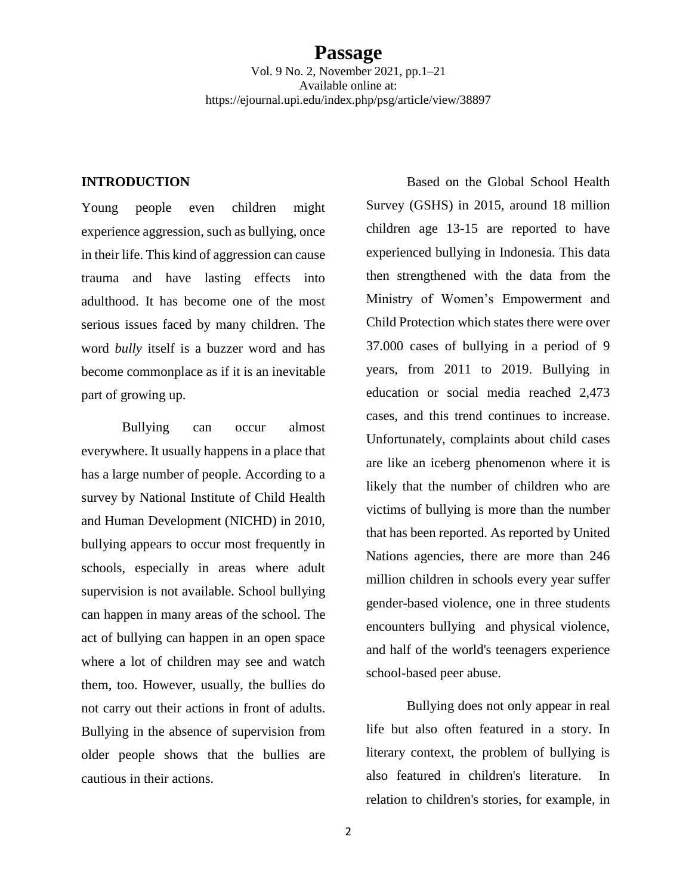Vol. 9 No. 2, November 2021, pp.1–21 Available online at: https://ejournal.upi.edu/index.php/psg/article/view/38897

#### **INTRODUCTION**

Young people even children might experience aggression, such as bullying, once in their life. This kind of aggression can cause trauma and have lasting effects into adulthood. It has become one of the most serious issues faced by many children. The word *bully* itself is a buzzer word and has become commonplace as if it is an inevitable part of growing up.

Bullying can occur almost everywhere. It usually happens in a place that has a large number of people. According to a survey by National Institute of Child Health and Human Development (NICHD) in 2010, bullying appears to occur most frequently in schools, especially in areas where adult supervision is not available. School bullying can happen in many areas of the school. The act of bullying can happen in an open space where a lot of children may see and watch them, too. However, usually, the bullies do not carry out their actions in front of adults. Bullying in the absence of supervision from older people shows that the bullies are cautious in their actions.

Based on the Global School Health Survey (GSHS) in 2015, around 18 million children age 13-15 are reported to have experienced bullying in Indonesia. This data then strengthened with the data from the Ministry of Women's Empowerment and Child Protection which states there were over 37.000 cases of bullying in a period of 9 years, from 2011 to 2019. Bullying in education or social media reached 2,473 cases, and this trend continues to increase. Unfortunately, complaints about child cases are like an iceberg phenomenon where it is likely that the number of children who are victims of bullying is more than the number that has been reported. As reported by United Nations agencies, there are more than 246 million children in schools every year suffer gender-based violence, one in three students encounters bullying and physical violence, and half of the world's teenagers experience school-based peer abuse.

Bullying does not only appear in real life but also often featured in a story. In literary context, the problem of bullying is also featured in children's literature. In relation to children's stories, for example, in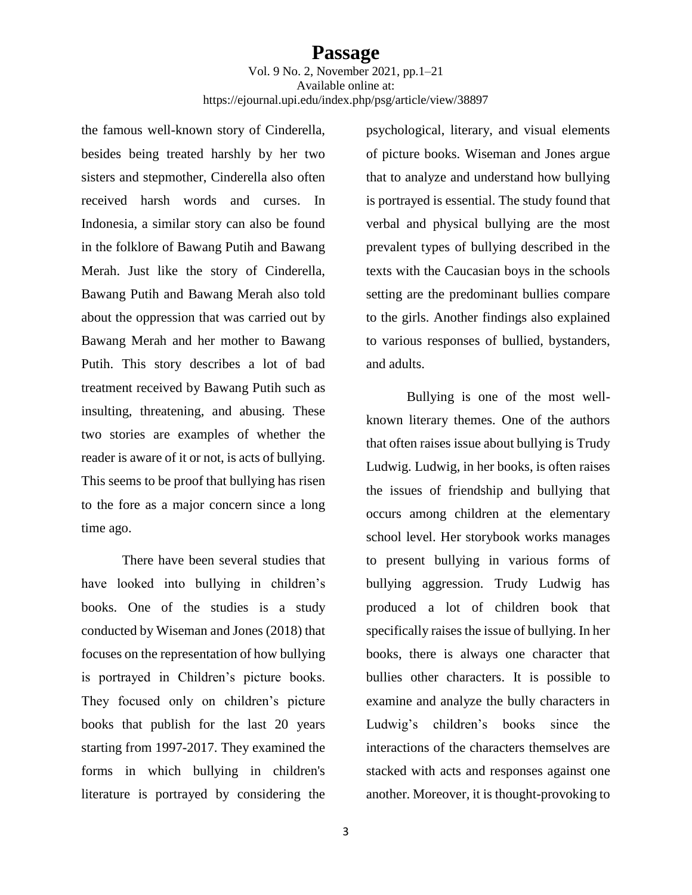the famous well-known story of Cinderella, besides being treated harshly by her two sisters and stepmother, Cinderella also often received harsh words and curses. In Indonesia, a similar story can also be found in the folklore of Bawang Putih and Bawang Merah. Just like the story of Cinderella, Bawang Putih and Bawang Merah also told about the oppression that was carried out by Bawang Merah and her mother to Bawang Putih. This story describes a lot of bad treatment received by Bawang Putih such as insulting, threatening, and abusing. These two stories are examples of whether the reader is aware of it or not, is acts of bullying. This seems to be proof that bullying has risen to the fore as a major concern since a long time ago.

There have been several studies that have looked into bullying in children's books. One of the studies is a study conducted by Wiseman and Jones (2018) that focuses on the representation of how bullying is portrayed in Children's picture books. They focused only on children's picture books that publish for the last 20 years starting from 1997-2017. They examined the forms in which bullying in children's literature is portrayed by considering the

psychological, literary, and visual elements of picture books. Wiseman and Jones argue that to analyze and understand how bullying is portrayed is essential. The study found that verbal and physical bullying are the most prevalent types of bullying described in the texts with the Caucasian boys in the schools setting are the predominant bullies compare to the girls. Another findings also explained to various responses of bullied, bystanders, and adults.

Bullying is one of the most wellknown literary themes. One of the authors that often raises issue about bullying is Trudy Ludwig. Ludwig, in her books, is often raises the issues of friendship and bullying that occurs among children at the elementary school level. Her storybook works manages to present bullying in various forms of bullying aggression. Trudy Ludwig has produced a lot of children book that specifically raises the issue of bullying. In her books, there is always one character that bullies other characters. It is possible to examine and analyze the bully characters in Ludwig's children's books since the interactions of the characters themselves are stacked with acts and responses against one another. Moreover, it is thought-provoking to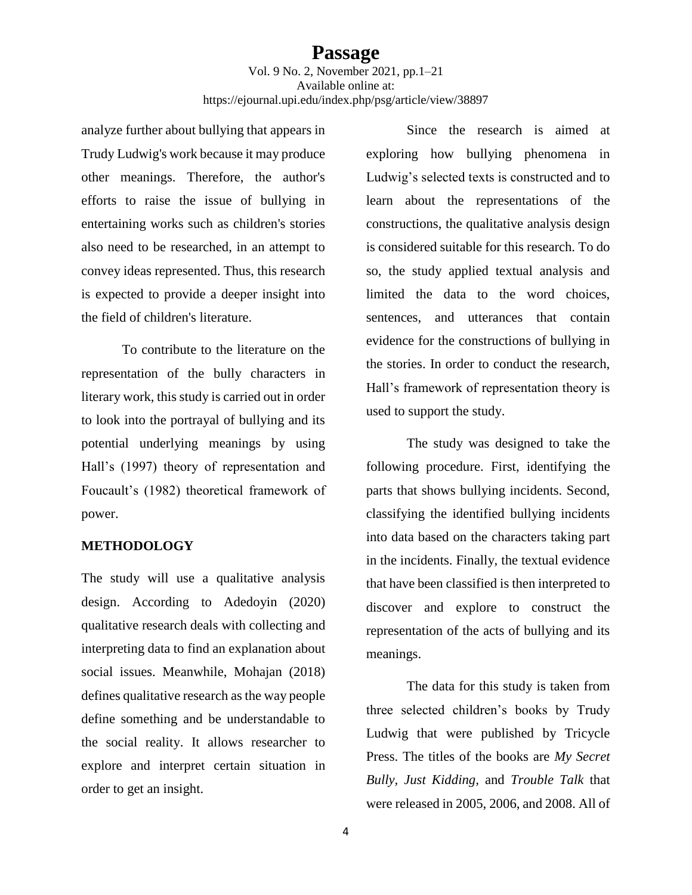analyze further about bullying that appears in Trudy Ludwig's work because it may produce other meanings. Therefore, the author's efforts to raise the issue of bullying in entertaining works such as children's stories also need to be researched, in an attempt to convey ideas represented. Thus, this research is expected to provide a deeper insight into the field of children's literature.

To contribute to the literature on the representation of the bully characters in literary work, this study is carried out in order to look into the portrayal of bullying and its potential underlying meanings by using Hall's (1997) theory of representation and Foucault's (1982) theoretical framework of power.

### **METHODOLOGY**

The study will use a qualitative analysis design. According to Adedoyin (2020) qualitative research deals with collecting and interpreting data to find an explanation about social issues. Meanwhile, Mohajan (2018) defines qualitative research as the way people define something and be understandable to the social reality. It allows researcher to explore and interpret certain situation in order to get an insight.

Since the research is aimed at exploring how bullying phenomena in Ludwig's selected texts is constructed and to learn about the representations of the constructions, the qualitative analysis design is considered suitable for this research. To do so, the study applied textual analysis and limited the data to the word choices, sentences, and utterances that contain evidence for the constructions of bullying in the stories. In order to conduct the research, Hall's framework of representation theory is used to support the study.

The study was designed to take the following procedure. First, identifying the parts that shows bullying incidents. Second, classifying the identified bullying incidents into data based on the characters taking part in the incidents. Finally, the textual evidence that have been classified is then interpreted to discover and explore to construct the representation of the acts of bullying and its meanings.

The data for this study is taken from three selected children's books by Trudy Ludwig that were published by Tricycle Press. The titles of the books are *My Secret Bully, Just Kidding,* and *Trouble Talk* that were released in 2005, 2006, and 2008. All of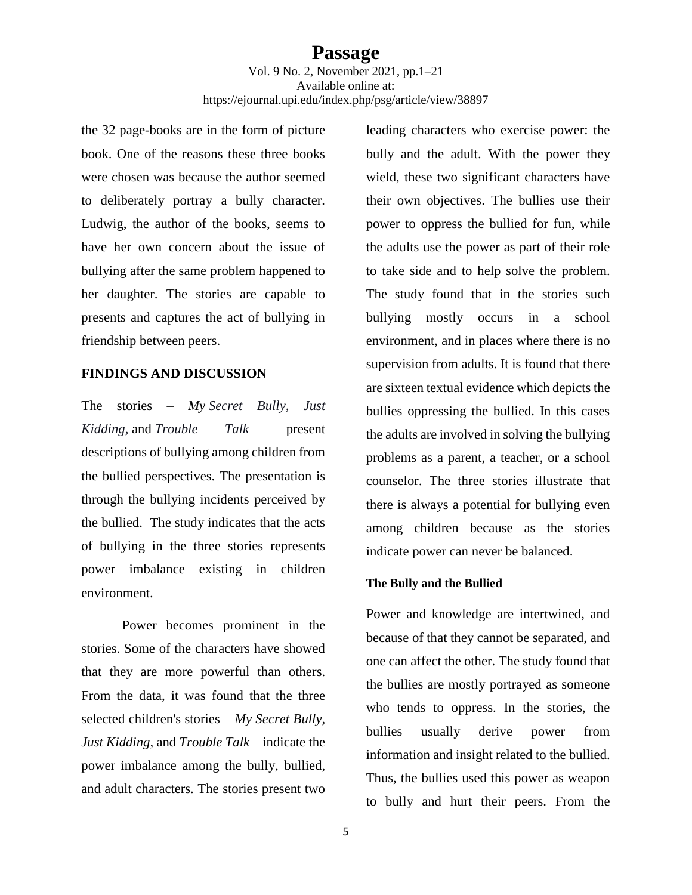the 32 page-books are in the form of picture book. One of the reasons these three books were chosen was because the author seemed to deliberately portray a bully character. Ludwig, the author of the books, seems to have her own concern about the issue of bullying after the same problem happened to her daughter. The stories are capable to presents and captures the act of bullying in friendship between peers.

#### **FINDINGS AND DISCUSSION**

The stories – *My Secret Bully, Just Kidding,* and *Trouble Talk* – present descriptions of bullying among children from the bullied perspectives. The presentation is through the bullying incidents perceived by the bullied. The study indicates that the acts of bullying in the three stories represents power imbalance existing in children environment.

Power becomes prominent in the stories. Some of the characters have showed that they are more powerful than others. From the data, it was found that the three selected children's stories – *My Secret Bully, Just Kidding,* and *Trouble Talk* – indicate the power imbalance among the bully, bullied, and adult characters. The stories present two

leading characters who exercise power: the bully and the adult. With the power they wield, these two significant characters have their own objectives. The bullies use their power to oppress the bullied for fun, while the adults use the power as part of their role to take side and to help solve the problem. The study found that in the stories such bullying mostly occurs in a school environment, and in places where there is no supervision from adults. It is found that there are sixteen textual evidence which depicts the bullies oppressing the bullied. In this cases the adults are involved in solving the bullying problems as a parent, a teacher, or a school counselor. The three stories illustrate that there is always a potential for bullying even among children because as the stories indicate power can never be balanced.

#### **The Bully and the Bullied**

Power and knowledge are intertwined, and because of that they cannot be separated, and one can affect the other. The study found that the bullies are mostly portrayed as someone who tends to oppress. In the stories, the bullies usually derive power from information and insight related to the bullied. Thus, the bullies used this power as weapon to bully and hurt their peers. From the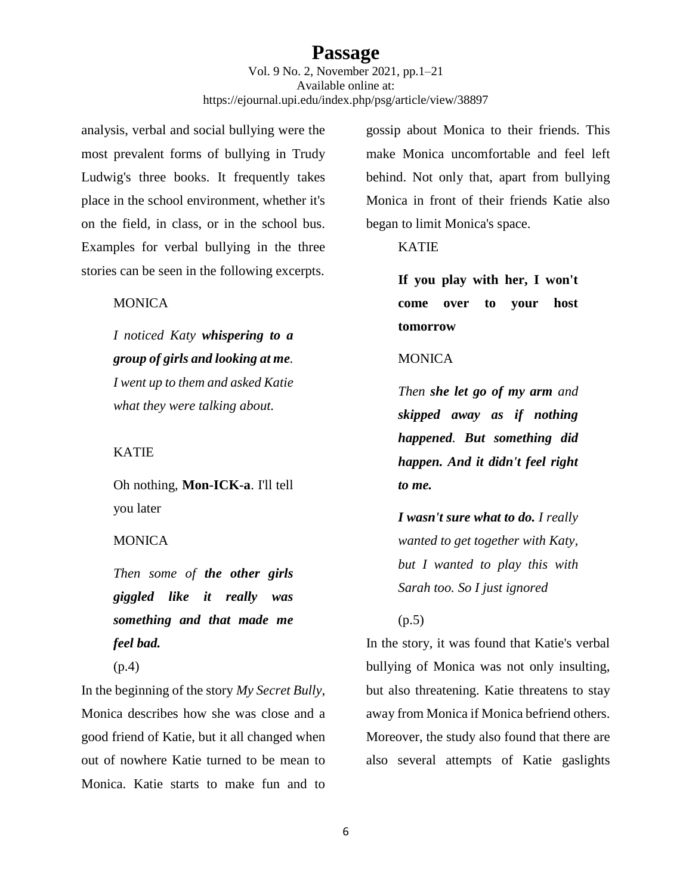Vol. 9 No. 2, November 2021, pp.1–21 Available online at: https://ejournal.upi.edu/index.php/psg/article/view/38897

analysis, verbal and social bullying were the most prevalent forms of bullying in Trudy Ludwig's three books. It frequently takes place in the school environment, whether it's on the field, in class, or in the school bus. Examples for verbal bullying in the three stories can be seen in the following excerpts.

### **MONICA**

*I noticed Katy whispering to a group of girls and looking at me. I went up to them and asked Katie what they were talking about.*

#### KATIE

Oh nothing, **Mon-ICK-a**. I'll tell you later

### **MONICA**

*Then some of the other girls giggled like it really was something and that made me feel bad.*

(p.4)

In the beginning of the story *My Secret Bully*, Monica describes how she was close and a good friend of Katie, but it all changed when out of nowhere Katie turned to be mean to Monica. Katie starts to make fun and to

gossip about Monica to their friends. This make Monica uncomfortable and feel left behind. Not only that, apart from bullying Monica in front of their friends Katie also began to limit Monica's space.

### KATIE

**If you play with her, I won't come over to your host tomorrow**

#### MONICA

*Then she let go of my arm and skipped away as if nothing happened. But something did happen. And it didn't feel right to me.*

*I wasn't sure what to do. I really wanted to get together with Katy, but I wanted to play this with Sarah too. So I just ignored*

#### (p.5)

In the story, it was found that Katie's verbal bullying of Monica was not only insulting, but also threatening. Katie threatens to stay away from Monica if Monica befriend others. Moreover, the study also found that there are also several attempts of Katie gaslights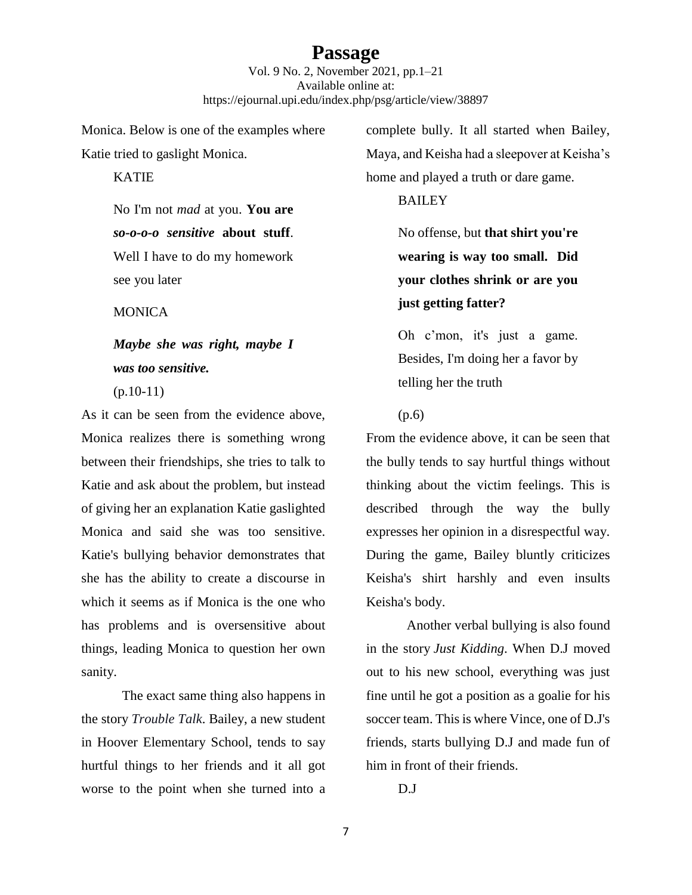Vol. 9 No. 2, November 2021, pp.1–21 Available online at: https://ejournal.upi.edu/index.php/psg/article/view/38897

Monica. Below is one of the examples where Katie tried to gaslight Monica.

**KATIE** 

No I'm not *mad* at you. **You are**  *so-o-o-o sensitive* **about stuff**. Well I have to do my homework see you later

**MONICA** 

# *Maybe she was right, maybe I was too sensitive.*

 $(p.10-11)$ 

As it can be seen from the evidence above, Monica realizes there is something wrong between their friendships, she tries to talk to Katie and ask about the problem, but instead of giving her an explanation Katie gaslighted Monica and said she was too sensitive. Katie's bullying behavior demonstrates that she has the ability to create a discourse in which it seems as if Monica is the one who has problems and is oversensitive about things, leading Monica to question her own sanity.

The exact same thing also happens in the story *Trouble Talk*. Bailey, a new student in Hoover Elementary School, tends to say hurtful things to her friends and it all got worse to the point when she turned into a complete bully. It all started when Bailey, Maya, and Keisha had a sleepover at Keisha's home and played a truth or dare game.

BAILEY

No offense, but **that shirt you're wearing is way too small. Did your clothes shrink or are you just getting fatter?**

Oh c'mon, it's just a game. Besides, I'm doing her a favor by telling her the truth

### (p.6)

From the evidence above, it can be seen that the bully tends to say hurtful things without thinking about the victim feelings. This is described through the way the bully expresses her opinion in a disrespectful way. During the game, Bailey bluntly criticizes Keisha's shirt harshly and even insults Keisha's body.

Another verbal bullying is also found in the story *Just Kidding*. When D.J moved out to his new school, everything was just fine until he got a position as a goalie for his soccer team. This is where Vince, one of D.J's friends, starts bullying D.J and made fun of him in front of their friends.

D.J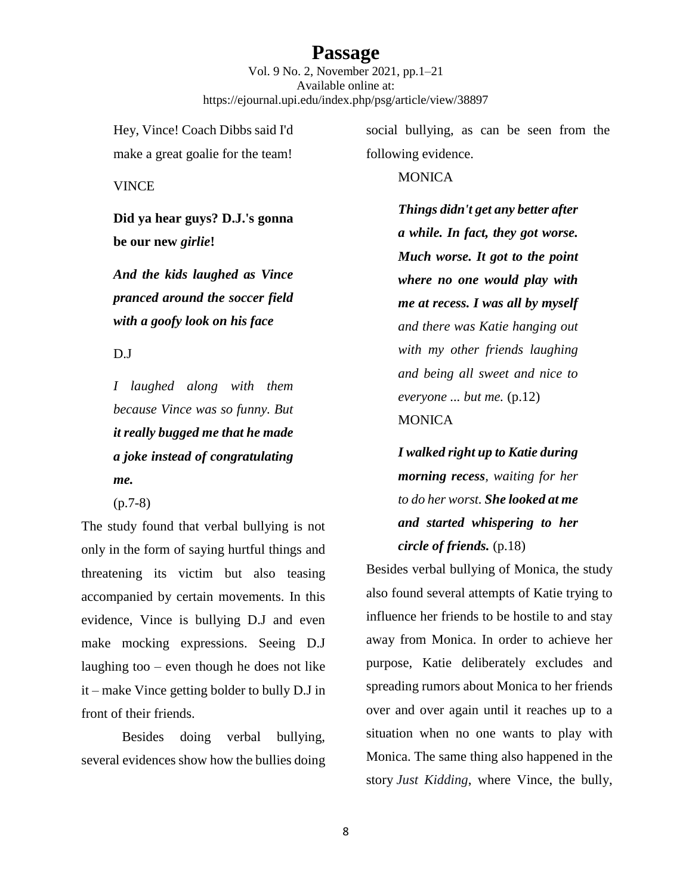Vol. 9 No. 2, November 2021, pp.1–21 Available online at: https://ejournal.upi.edu/index.php/psg/article/view/38897

Hey, Vince! Coach Dibbs said I'd make a great goalie for the team!

VINCE

**Did ya hear guys? D.J.'s gonna be our new** *girlie***!**

*And the kids laughed as Vince pranced around the soccer field with a goofy look on his face* 

D.J

*I laughed along with them because Vince was so funny. But it really bugged me that he made a joke instead of congratulating me.*

(p.7-8)

The study found that verbal bullying is not only in the form of saying hurtful things and threatening its victim but also teasing accompanied by certain movements. In this evidence, Vince is bullying D.J and even make mocking expressions. Seeing D.J laughing too – even though he does not like it – make Vince getting bolder to bully D.J in front of their friends.

Besides doing verbal bullying, several evidences show how the bullies doing

social bullying, as can be seen from the following evidence.

### **MONICA**

*Things didn't get any better after a while. In fact, they got worse. Much worse. It got to the point where no one would play with me at recess. I was all by myself and there was Katie hanging out with my other friends laughing and being all sweet and nice to everyone ... but me.* (p.12) **MONICA** 

*I walked right up to Katie during morning recess, waiting for her to do her worst. She looked at me and started whispering to her circle of friends.* (p.18)

Besides verbal bullying of Monica, the study also found several attempts of Katie trying to influence her friends to be hostile to and stay away from Monica. In order to achieve her purpose, Katie deliberately excludes and spreading rumors about Monica to her friends over and over again until it reaches up to a situation when no one wants to play with Monica. The same thing also happened in the story *Just Kidding*, where Vince, the bully,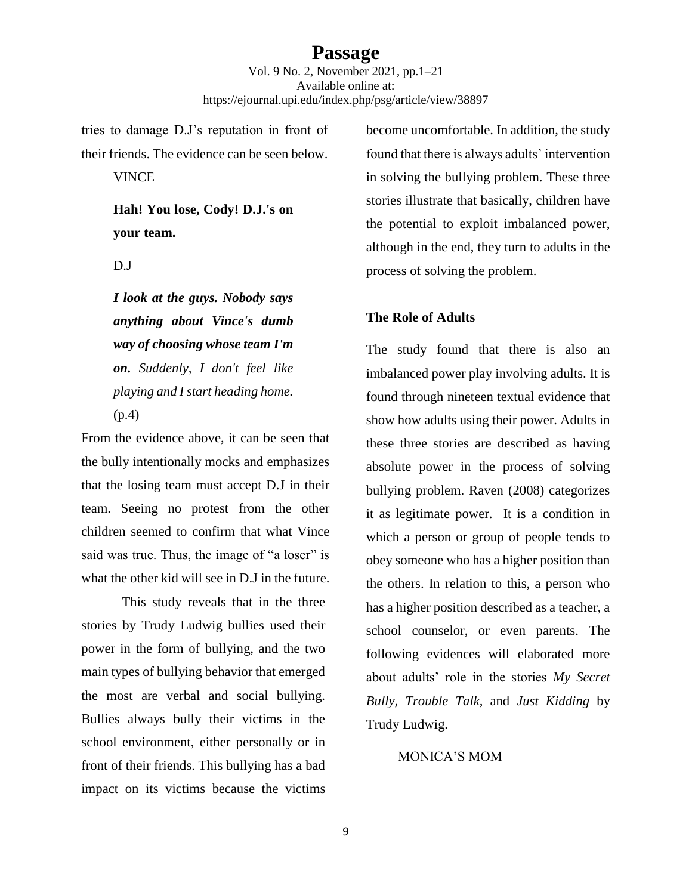Vol. 9 No. 2, November 2021, pp.1–21 Available online at: https://ejournal.upi.edu/index.php/psg/article/view/38897

tries to damage D.J's reputation in front of their friends. The evidence can be seen below.

VINCE

**Hah! You lose, Cody! D.J.'s on your team.**

D.J

*I look at the guys. Nobody says anything about Vince's dumb way of choosing whose team I'm on. Suddenly, I don't feel like playing and I start heading home.*  (p.4)

From the evidence above, it can be seen that the bully intentionally mocks and emphasizes that the losing team must accept D.J in their team. Seeing no protest from the other children seemed to confirm that what Vince said was true. Thus, the image of "a loser" is what the other kid will see in D.J in the future.

This study reveals that in the three stories by Trudy Ludwig bullies used their power in the form of bullying, and the two main types of bullying behavior that emerged the most are verbal and social bullying. Bullies always bully their victims in the school environment, either personally or in front of their friends. This bullying has a bad impact on its victims because the victims

become uncomfortable. In addition, the study found that there is always adults' intervention in solving the bullying problem. These three stories illustrate that basically, children have the potential to exploit imbalanced power, although in the end, they turn to adults in the process of solving the problem.

### **The Role of Adults**

The study found that there is also an imbalanced power play involving adults. It is found through nineteen textual evidence that show how adults using their power. Adults in these three stories are described as having absolute power in the process of solving bullying problem. Raven (2008) categorizes it as legitimate power. It is a condition in which a person or group of people tends to obey someone who has a higher position than the others. In relation to this, a person who has a higher position described as a teacher, a school counselor, or even parents. The following evidences will elaborated more about adults' role in the stories *My Secret Bully, Trouble Talk,* and *Just Kidding* by Trudy Ludwig.

#### MONICA'S MOM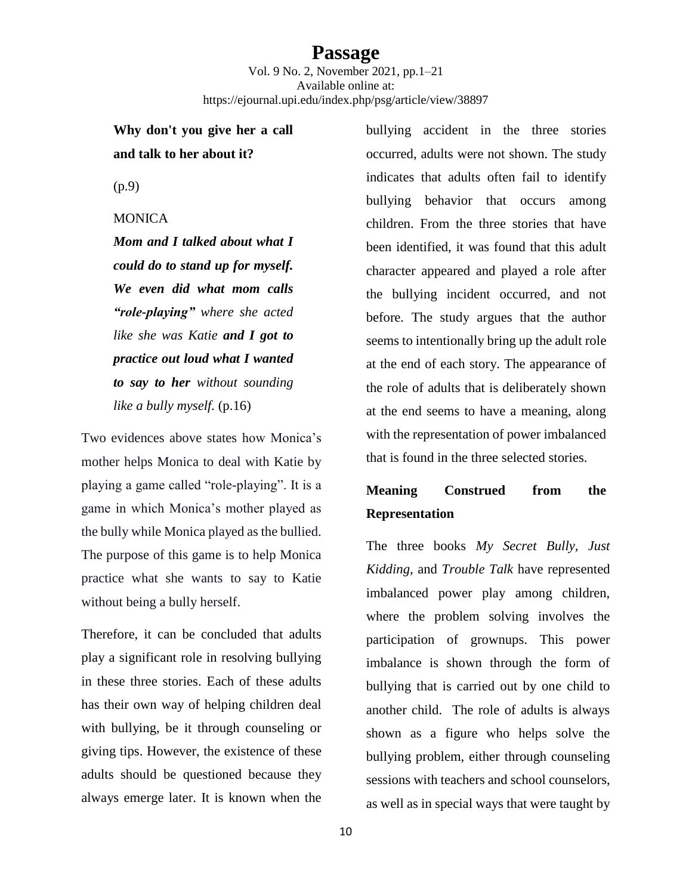Vol. 9 No. 2, November 2021, pp.1–21 Available online at: https://ejournal.upi.edu/index.php/psg/article/view/38897

# **Why don't you give her a call and talk to her about it?**

(p.9)

### **MONICA**

*Mom and I talked about what I could do to stand up for myself. We even did what mom calls "role-playing" where she acted like she was Katie and I got to practice out loud what I wanted to say to her without sounding like a bully myself.* (p.16)

Two evidences above states how Monica's mother helps Monica to deal with Katie by playing a game called "role-playing". It is a game in which Monica's mother played as the bully while Monica played as the bullied. The purpose of this game is to help Monica practice what she wants to say to Katie without being a bully herself.

Therefore, it can be concluded that adults play a significant role in resolving bullying in these three stories. Each of these adults has their own way of helping children deal with bullying, be it through counseling or giving tips. However, the existence of these adults should be questioned because they always emerge later. It is known when the

bullying accident in the three stories occurred, adults were not shown. The study indicates that adults often fail to identify bullying behavior that occurs among children. From the three stories that have been identified, it was found that this adult character appeared and played a role after the bullying incident occurred, and not before. The study argues that the author seems to intentionally bring up the adult role at the end of each story. The appearance of the role of adults that is deliberately shown at the end seems to have a meaning, along with the representation of power imbalanced that is found in the three selected stories.

# **Meaning Construed from the Representation**

The three books *My Secret Bully, Just Kidding,* and *Trouble Talk* have represented imbalanced power play among children, where the problem solving involves the participation of grownups. This power imbalance is shown through the form of bullying that is carried out by one child to another child. The role of adults is always shown as a figure who helps solve the bullying problem, either through counseling sessions with teachers and school counselors, as well as in special ways that were taught by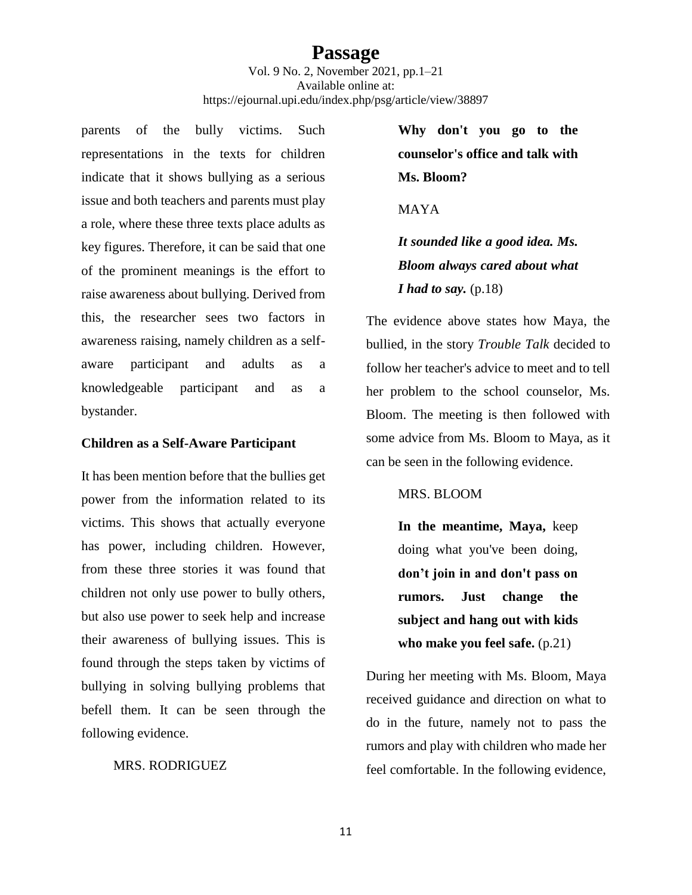Vol. 9 No. 2, November 2021, pp.1–21 Available online at: https://ejournal.upi.edu/index.php/psg/article/view/38897

parents of the bully victims. Such representations in the texts for children indicate that it shows bullying as a serious issue and both teachers and parents must play a role, where these three texts place adults as key figures. Therefore, it can be said that one of the prominent meanings is the effort to raise awareness about bullying. Derived from this, the researcher sees two factors in awareness raising, namely children as a selfaware participant and adults as a knowledgeable participant and as a bystander.

#### **Children as a Self-Aware Participant**

It has been mention before that the bullies get power from the information related to its victims. This shows that actually everyone has power, including children. However, from these three stories it was found that children not only use power to bully others, but also use power to seek help and increase their awareness of bullying issues. This is found through the steps taken by victims of bullying in solving bullying problems that befell them. It can be seen through the following evidence.

#### MRS. RODRIGUEZ

**Why don't you go to the counselor's office and talk with Ms. Bloom?**

MAYA

*It sounded like a good idea. Ms. Bloom always cared about what <i>I* had to say. (p.18)

The evidence above states how Maya, the bullied, in the story *Trouble Talk* decided to follow her teacher's advice to meet and to tell her problem to the school counselor, Ms. Bloom. The meeting is then followed with some advice from Ms. Bloom to Maya, as it can be seen in the following evidence.

### MRS. BLOOM

**In the meantime, Maya,** keep doing what you've been doing, **don't join in and don't pass on rumors. Just change the subject and hang out with kids who make you feel safe.** (p.21)

During her meeting with Ms. Bloom, Maya received guidance and direction on what to do in the future, namely not to pass the rumors and play with children who made her feel comfortable. In the following evidence,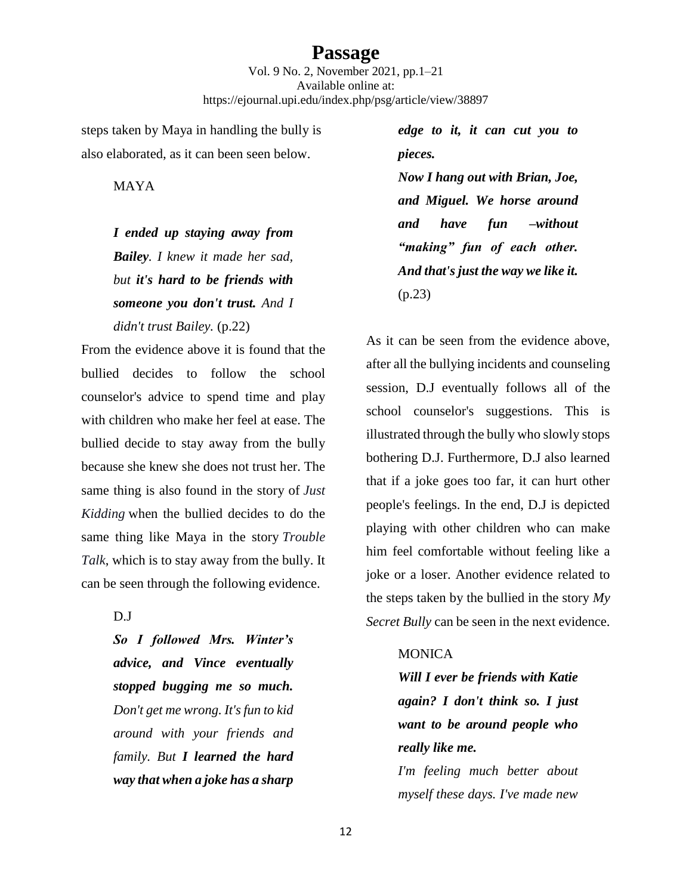Vol. 9 No. 2, November 2021, pp.1–21 Available online at: https://ejournal.upi.edu/index.php/psg/article/view/38897

steps taken by Maya in handling the bully is also elaborated, as it can been seen below.

MAYA

*I ended up staying away from Bailey. I knew it made her sad, but it's hard to be friends with someone you don't trust. And I didn't trust Bailey.* (p.22)

From the evidence above it is found that the bullied decides to follow the school counselor's advice to spend time and play with children who make her feel at ease. The bullied decide to stay away from the bully because she knew she does not trust her. The same thing is also found in the story of *Just Kidding* when the bullied decides to do the same thing like Maya in the story *Trouble Talk*, which is to stay away from the bully. It can be seen through the following evidence.

D.J

*So I followed Mrs. Winter's advice, and Vince eventually stopped bugging me so much. Don't get me wrong. It's fun to kid around with your friends and family. But I learned the hard way that when a joke has a sharp* 

*edge to it, it can cut you to pieces. Now I hang out with Brian, Joe, and Miguel. We horse around and have fun –without "making" fun of each other. And that's just the way we like it.* (p.23)

As it can be seen from the evidence above, after all the bullying incidents and counseling session, D.J eventually follows all of the school counselor's suggestions. This is illustrated through the bully who slowly stops bothering D.J. Furthermore, D.J also learned that if a joke goes too far, it can hurt other people's feelings. In the end, D.J is depicted playing with other children who can make him feel comfortable without feeling like a joke or a loser. Another evidence related to the steps taken by the bullied in the story *My Secret Bully* can be seen in the next evidence.

### **MONICA**

*Will I ever be friends with Katie again? I don't think so. I just want to be around people who really like me.*

*I'm feeling much better about myself these days. I've made new*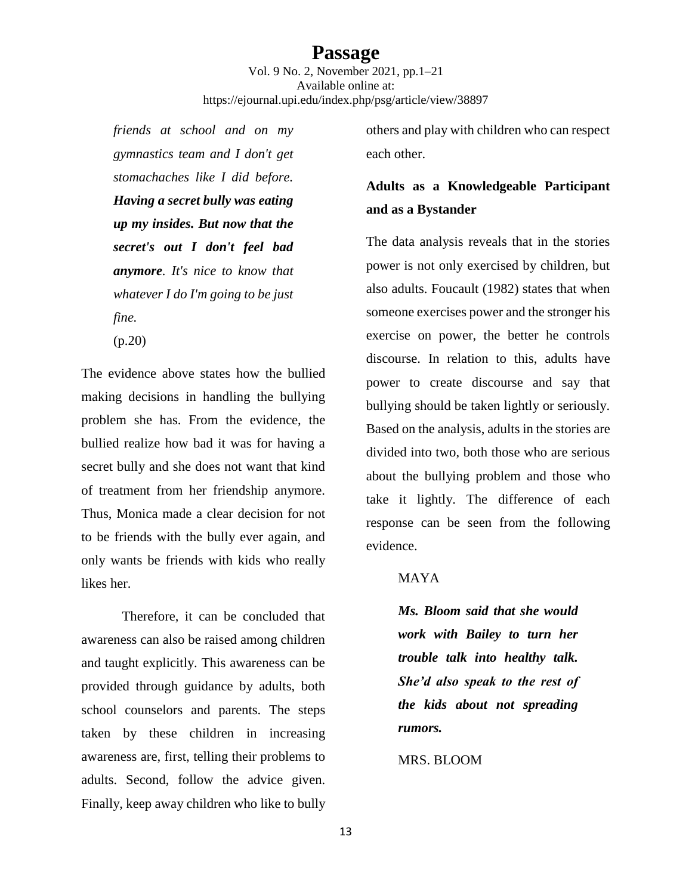Vol. 9 No. 2, November 2021, pp.1–21 Available online at: https://ejournal.upi.edu/index.php/psg/article/view/38897

*friends at school and on my gymnastics team and I don't get stomachaches like I did before. Having a secret bully was eating up my insides. But now that the secret's out I don't feel bad anymore. It's nice to know that whatever I do I'm going to be just fine.* 

(p.20)

The evidence above states how the bullied making decisions in handling the bullying problem she has. From the evidence, the bullied realize how bad it was for having a secret bully and she does not want that kind of treatment from her friendship anymore. Thus, Monica made a clear decision for not to be friends with the bully ever again, and only wants be friends with kids who really likes her.

Therefore, it can be concluded that awareness can also be raised among children and taught explicitly. This awareness can be provided through guidance by adults, both school counselors and parents. The steps taken by these children in increasing awareness are, first, telling their problems to adults. Second, follow the advice given. Finally, keep away children who like to bully

others and play with children who can respect each other.

# **Adults as a Knowledgeable Participant and as a Bystander**

The data analysis reveals that in the stories power is not only exercised by children, but also adults. Foucault (1982) states that when someone exercises power and the stronger his exercise on power, the better he controls discourse. In relation to this, adults have power to create discourse and say that bullying should be taken lightly or seriously. Based on the analysis, adults in the stories are divided into two, both those who are serious about the bullying problem and those who take it lightly. The difference of each response can be seen from the following evidence.

### MAYA

*Ms. Bloom said that she would work with Bailey to turn her trouble talk into healthy talk. She'd also speak to the rest of the kids about not spreading rumors.*

#### MRS. BLOOM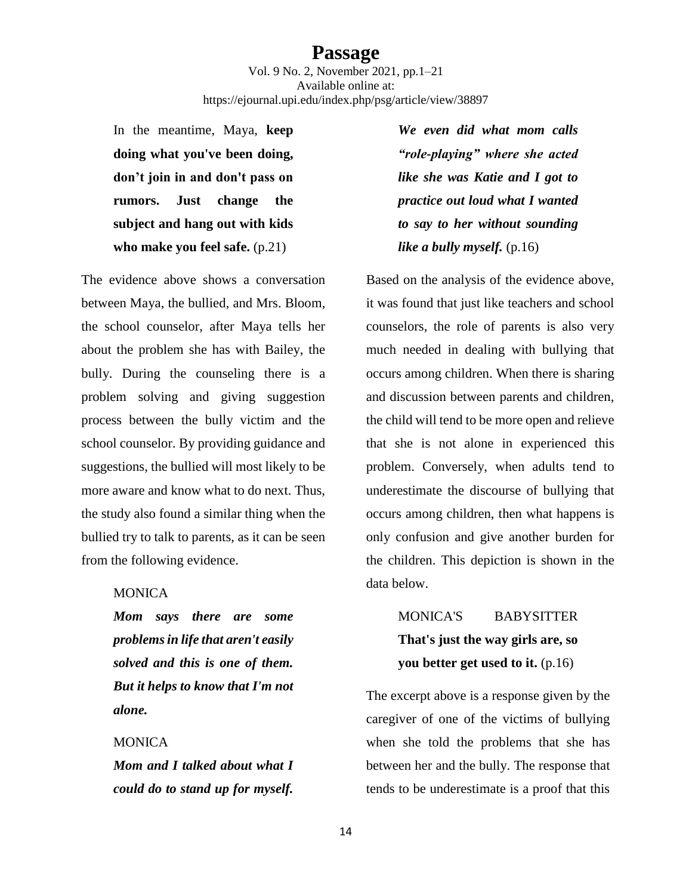Vol. 9 No. 2, November 2021, pp.1–21 Available online at: https://ejournal.upi.edu/index.php/psg/article/view/38897

In the meantime, Maya, **keep doing what you've been doing, don't join in and don't pass on rumors. Just change the subject and hang out with kids who make you feel safe.** (p.21)

The evidence above shows a conversation between Maya, the bullied, and Mrs. Bloom, the school counselor, after Maya tells her about the problem she has with Bailey, the bully. During the counseling there is a problem solving and giving suggestion process between the bully victim and the school counselor. By providing guidance and suggestions, the bullied will most likely to be more aware and know what to do next. Thus, the study also found a similar thing when the bullied try to talk to parents, as it can be seen from the following evidence.

#### MONICA

*Mom says there are some problems in life that aren't easily solved and this is one of them. But it helps to know that I'm not alone.*

#### **MONICA**

*Mom and I talked about what I could do to stand up for myself.* 

*We even did what mom calls "role-playing" where she acted like she was Katie and I got to practice out loud what I wanted to say to her without sounding like a bully myself.* (p.16)

Based on the analysis of the evidence above, it was found that just like teachers and school counselors, the role of parents is also very much needed in dealing with bullying that occurs among children. When there is sharing and discussion between parents and children, the child will tend to be more open and relieve that she is not alone in experienced this problem. Conversely, when adults tend to underestimate the discourse of bullying that occurs among children, then what happens is only confusion and give another burden for the children. This depiction is shown in the data below.

> MONICA'S BABYSITTER **That's just the way girls are, so you better get used to it.** (p.16)

The excerpt above is a response given by the caregiver of one of the victims of bullying when she told the problems that she has between her and the bully. The response that tends to be underestimate is a proof that this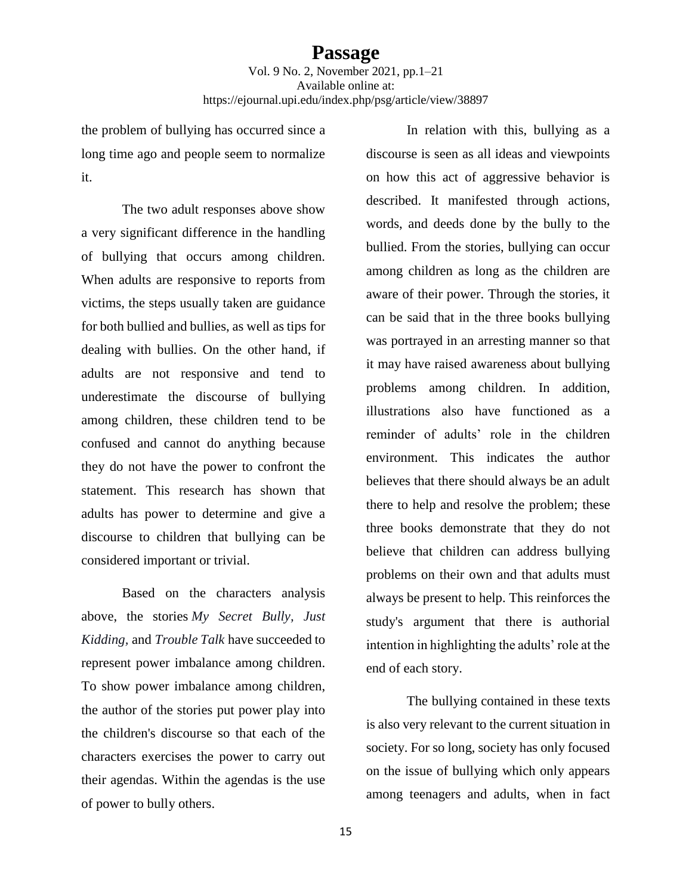the problem of bullying has occurred since a long time ago and people seem to normalize it.

The two adult responses above show a very significant difference in the handling of bullying that occurs among children. When adults are responsive to reports from victims, the steps usually taken are guidance for both bullied and bullies, as well as tips for dealing with bullies. On the other hand, if adults are not responsive and tend to underestimate the discourse of bullying among children, these children tend to be confused and cannot do anything because they do not have the power to confront the statement. This research has shown that adults has power to determine and give a discourse to children that bullying can be considered important or trivial.

Based on the characters analysis above, the stories *My Secret Bully, Just Kidding,* and *Trouble Talk* have succeeded to represent power imbalance among children. To show power imbalance among children, the author of the stories put power play into the children's discourse so that each of the characters exercises the power to carry out their agendas. Within the agendas is the use of power to bully others.

In relation with this, bullying as a discourse is seen as all ideas and viewpoints on how this act of aggressive behavior is described. It manifested through actions, words, and deeds done by the bully to the bullied. From the stories, bullying can occur among children as long as the children are aware of their power. Through the stories, it can be said that in the three books bullying was portrayed in an arresting manner so that it may have raised awareness about bullying problems among children. In addition, illustrations also have functioned as a reminder of adults' role in the children environment. This indicates the author believes that there should always be an adult there to help and resolve the problem; these three books demonstrate that they do not believe that children can address bullying problems on their own and that adults must always be present to help. This reinforces the study's argument that there is authorial intention in highlighting the adults' role at the end of each story.

The bullying contained in these texts is also very relevant to the current situation in society. For so long, society has only focused on the issue of bullying which only appears among teenagers and adults, when in fact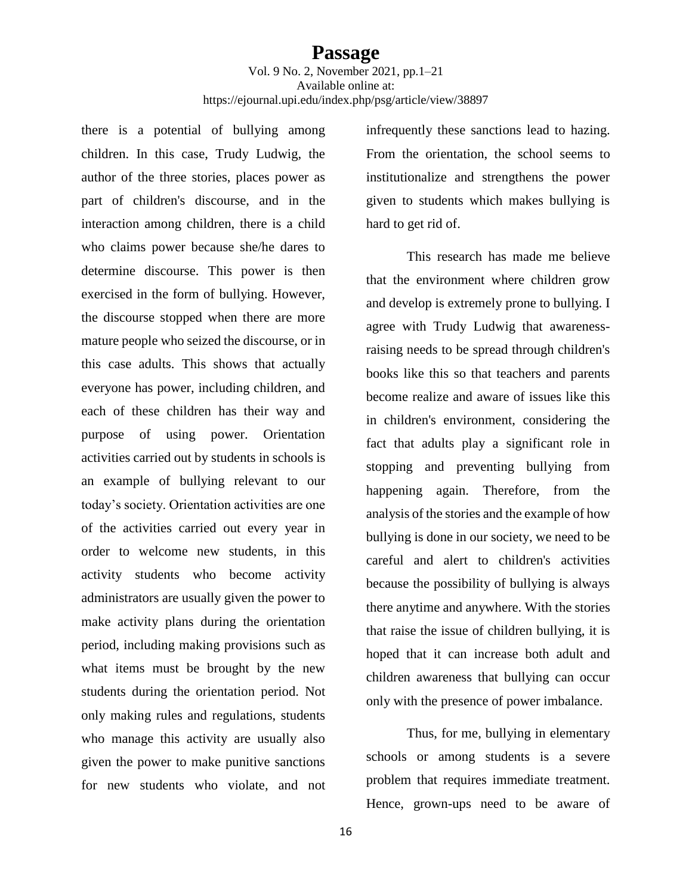there is a potential of bullying among children. In this case, Trudy Ludwig, the author of the three stories, places power as part of children's discourse, and in the interaction among children, there is a child who claims power because she/he dares to determine discourse. This power is then exercised in the form of bullying. However, the discourse stopped when there are more mature people who seized the discourse, or in this case adults. This shows that actually everyone has power, including children, and each of these children has their way and purpose of using power. Orientation activities carried out by students in schools is an example of bullying relevant to our today's society. Orientation activities are one of the activities carried out every year in order to welcome new students, in this activity students who become activity administrators are usually given the power to make activity plans during the orientation period, including making provisions such as what items must be brought by the new students during the orientation period. Not only making rules and regulations, students who manage this activity are usually also given the power to make punitive sanctions for new students who violate, and not

infrequently these sanctions lead to hazing. From the orientation, the school seems to institutionalize and strengthens the power given to students which makes bullying is hard to get rid of.

This research has made me believe that the environment where children grow and develop is extremely prone to bullying. I agree with Trudy Ludwig that awarenessraising needs to be spread through children's books like this so that teachers and parents become realize and aware of issues like this in children's environment, considering the fact that adults play a significant role in stopping and preventing bullying from happening again. Therefore, from the analysis of the stories and the example of how bullying is done in our society, we need to be careful and alert to children's activities because the possibility of bullying is always there anytime and anywhere. With the stories that raise the issue of children bullying, it is hoped that it can increase both adult and children awareness that bullying can occur only with the presence of power imbalance.

Thus, for me, bullying in elementary schools or among students is a severe problem that requires immediate treatment. Hence, grown-ups need to be aware of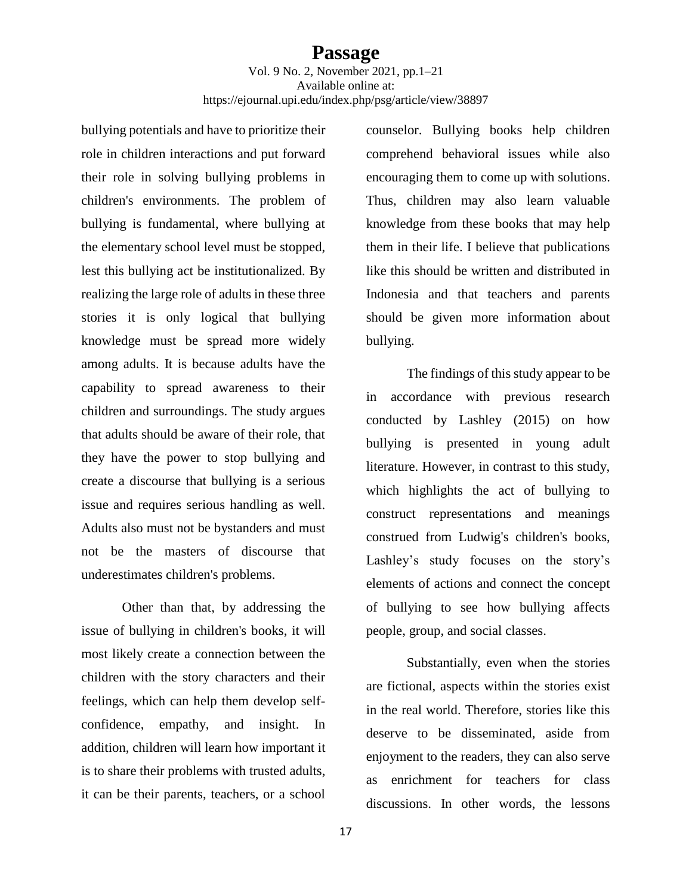bullying potentials and have to prioritize their role in children interactions and put forward their role in solving bullying problems in children's environments. The problem of bullying is fundamental, where bullying at the elementary school level must be stopped, lest this bullying act be institutionalized. By realizing the large role of adults in these three stories it is only logical that bullying knowledge must be spread more widely among adults. It is because adults have the capability to spread awareness to their children and surroundings. The study argues that adults should be aware of their role, that they have the power to stop bullying and create a discourse that bullying is a serious issue and requires serious handling as well. Adults also must not be bystanders and must not be the masters of discourse that underestimates children's problems.

Other than that, by addressing the issue of bullying in children's books, it will most likely create a connection between the children with the story characters and their feelings, which can help them develop selfconfidence, empathy, and insight. In addition, children will learn how important it is to share their problems with trusted adults, it can be their parents, teachers, or a school

counselor. Bullying books help children comprehend behavioral issues while also encouraging them to come up with solutions. Thus, children may also learn valuable knowledge from these books that may help them in their life. I believe that publications like this should be written and distributed in Indonesia and that teachers and parents should be given more information about bullying.

The findings of this study appear to be in accordance with previous research conducted by Lashley (2015) on how bullying is presented in young adult literature. However, in contrast to this study, which highlights the act of bullying to construct representations and meanings construed from Ludwig's children's books, Lashley's study focuses on the story's elements of actions and connect the concept of bullying to see how bullying affects people, group, and social classes.

Substantially, even when the stories are fictional, aspects within the stories exist in the real world. Therefore, stories like this deserve to be disseminated, aside from enjoyment to the readers, they can also serve as enrichment for teachers for class discussions. In other words, the lessons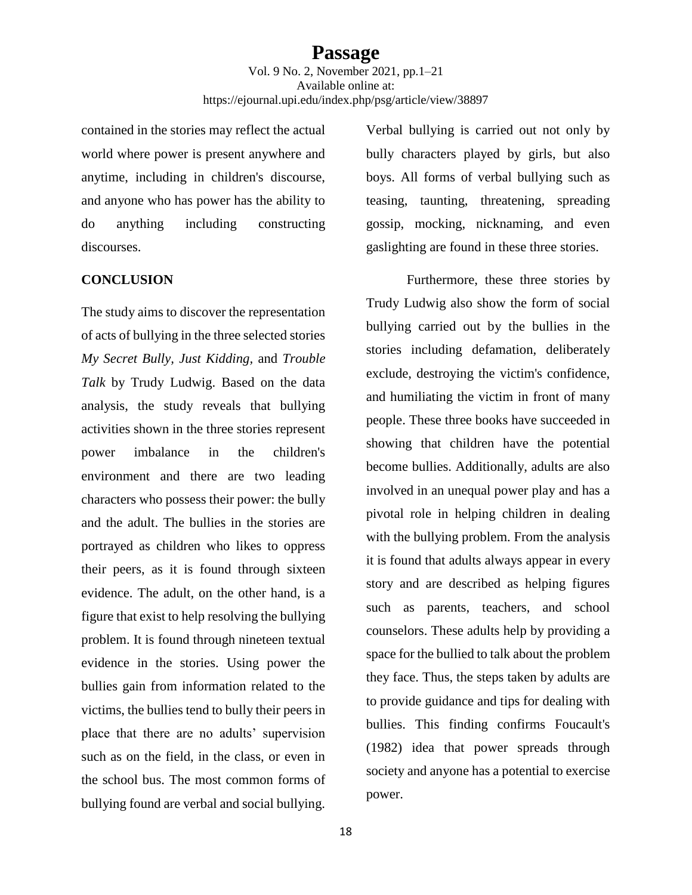contained in the stories may reflect the actual world where power is present anywhere and anytime, including in children's discourse, and anyone who has power has the ability to do anything including constructing discourses.

### **CONCLUSION**

The study aims to discover the representation of acts of bullying in the three selected stories *My Secret Bully, Just Kidding,* and *Trouble Talk* by Trudy Ludwig. Based on the data analysis, the study reveals that bullying activities shown in the three stories represent power imbalance in the children's environment and there are two leading characters who possess their power: the bully and the adult. The bullies in the stories are portrayed as children who likes to oppress their peers, as it is found through sixteen evidence. The adult, on the other hand, is a figure that exist to help resolving the bullying problem. It is found through nineteen textual evidence in the stories. Using power the bullies gain from information related to the victims, the bullies tend to bully their peers in place that there are no adults' supervision such as on the field, in the class, or even in the school bus. The most common forms of bullying found are verbal and social bullying.

Verbal bullying is carried out not only by bully characters played by girls, but also boys. All forms of verbal bullying such as teasing, taunting, threatening, spreading gossip, mocking, nicknaming, and even gaslighting are found in these three stories.

Furthermore, these three stories by Trudy Ludwig also show the form of social bullying carried out by the bullies in the stories including defamation, deliberately exclude, destroying the victim's confidence, and humiliating the victim in front of many people. These three books have succeeded in showing that children have the potential become bullies. Additionally, adults are also involved in an unequal power play and has a pivotal role in helping children in dealing with the bullying problem. From the analysis it is found that adults always appear in every story and are described as helping figures such as parents, teachers, and school counselors. These adults help by providing a space for the bullied to talk about the problem they face. Thus, the steps taken by adults are to provide guidance and tips for dealing with bullies. This finding confirms Foucault's (1982) idea that power spreads through society and anyone has a potential to exercise power.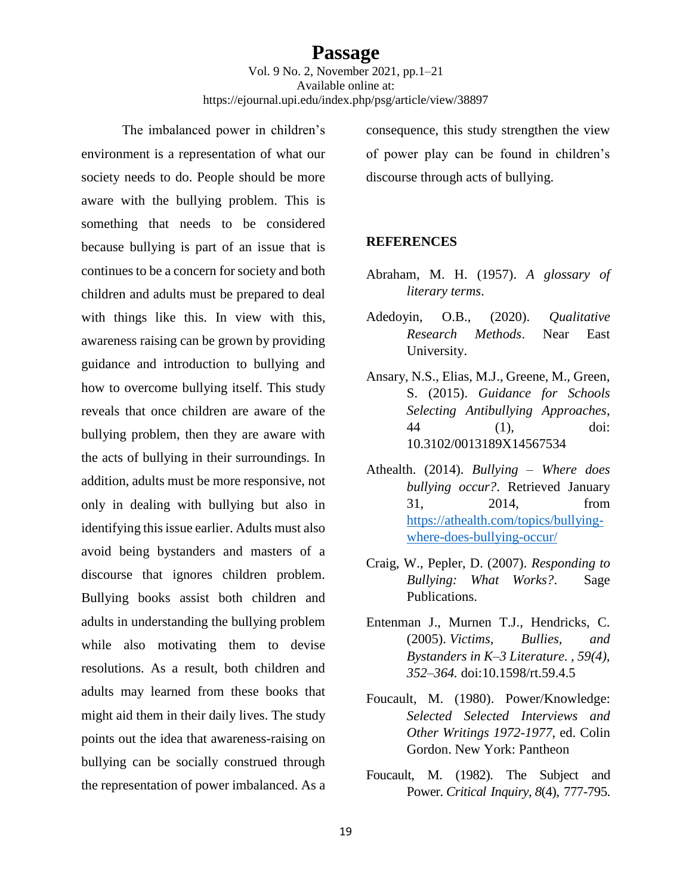The imbalanced power in children's environment is a representation of what our society needs to do. People should be more aware with the bullying problem. This is something that needs to be considered because bullying is part of an issue that is continues to be a concern for society and both children and adults must be prepared to deal with things like this. In view with this, awareness raising can be grown by providing guidance and introduction to bullying and how to overcome bullying itself. This study reveals that once children are aware of the bullying problem, then they are aware with the acts of bullying in their surroundings. In addition, adults must be more responsive, not only in dealing with bullying but also in identifying this issue earlier. Adults must also avoid being bystanders and masters of a discourse that ignores children problem. Bullying books assist both children and adults in understanding the bullying problem while also motivating them to devise resolutions. As a result, both children and adults may learned from these books that might aid them in their daily lives. The study points out the idea that awareness-raising on bullying can be socially construed through the representation of power imbalanced. As a consequence, this study strengthen the view of power play can be found in children's discourse through acts of bullying.

#### **REFERENCES**

- Abraham, M. H. (1957). *A glossary of literary terms*.
- Adedoyin, O.B., (2020). *Qualitative Research Methods*. Near East University.
- Ansary, N.S., Elias, M.J., Greene, M., Green, S. (2015). *Guidance for Schools Selecting Antibullying Approaches*, 44 (1), doi: 10.3102/0013189X14567534
- Athealth. (2014). *Bullying – Where does bullying occur?*. Retrieved January 31, 2014, from [https://athealth.com/topics/bullying](https://athealth.com/topics/bullying-where-does-bullying-occur/)[where-does-bullying-occur/](https://athealth.com/topics/bullying-where-does-bullying-occur/)
- Craig, W., Pepler, D. (2007). *Responding to Bullying: What Works?*. Sage Publications.
- Entenman J., Murnen T.J., Hendricks, C. (2005). *Victims, Bullies, and Bystanders in K–3 Literature. , 59(4), 352–364.* doi:10.1598/rt.59.4.5
- Foucault, M. (1980). Power/Knowledge: *Selected Selected Interviews and Other Writings 1972-1977*, ed. Colin Gordon. New York: Pantheon
- Foucault, M. (1982). The Subject and Power. *Critical Inquiry, 8*(4), 777-795.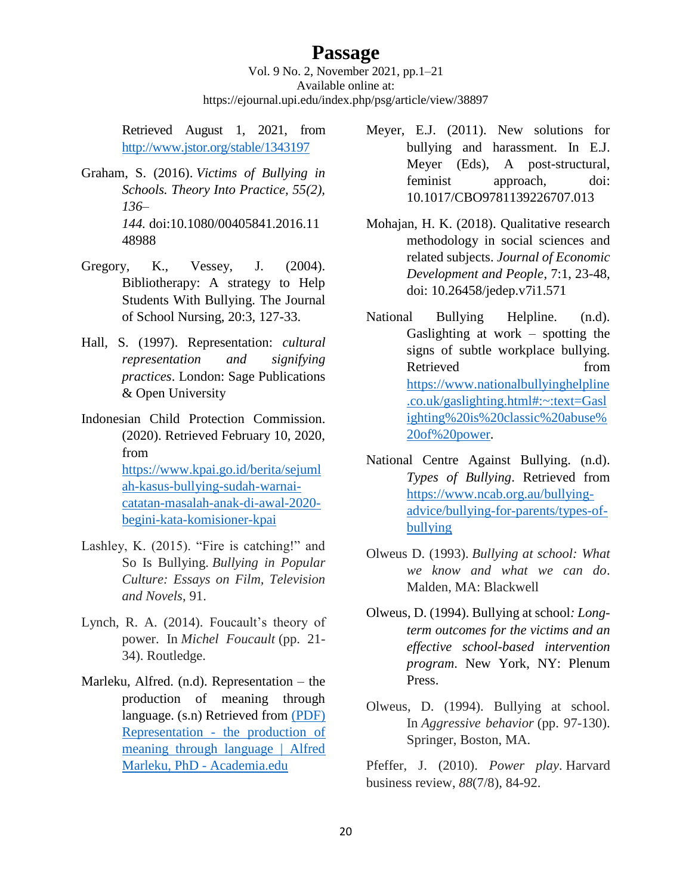Vol. 9 No. 2, November 2021, pp.1–21 Available online at: https://ejournal.upi.edu/index.php/psg/article/view/38897

Retrieved August 1, 2021, from <http://www.jstor.org/stable/1343197>

- Graham, S. (2016). *Victims of Bullying in Schools. Theory Into Practice, 55(2), 136– 144.* doi:10.1080/00405841.2016.11 48988
- Gregory, K., Vessey, J. (2004). Bibliotherapy: A strategy to Help Students With Bullying. The Journal of School Nursing, 20:3, 127-33.
- Hall, S. (1997). Representation: *cultural representation and signifying practices*. London: Sage Publications & Open University
- Indonesian Child Protection Commission. (2020). Retrieved February 10, 2020, from [https://www.kpai.go.id/berita/sejuml](https://www.kpai.go.id/berita/sejumlah-kasus-bullying-sudah-warnai-catatan-masalah-anak-di-awal-2020-begini-kata-komisioner-kpai) [ah-kasus-bullying-sudah-warnai](https://www.kpai.go.id/berita/sejumlah-kasus-bullying-sudah-warnai-catatan-masalah-anak-di-awal-2020-begini-kata-komisioner-kpai)[catatan-masalah-anak-di-awal-2020](https://www.kpai.go.id/berita/sejumlah-kasus-bullying-sudah-warnai-catatan-masalah-anak-di-awal-2020-begini-kata-komisioner-kpai) [begini-kata-komisioner-kpai](https://www.kpai.go.id/berita/sejumlah-kasus-bullying-sudah-warnai-catatan-masalah-anak-di-awal-2020-begini-kata-komisioner-kpai)
- Lashley, K. (2015). "Fire is catching!" and So Is Bullying. *Bullying in Popular Culture: Essays on Film, Television and Novels*, 91.
- Lynch, R. A. (2014). Foucault's theory of power. In *Michel Foucault* (pp. 21- 34). Routledge.
- Marleku, Alfred. (n.d). Representation the production of meaning through language. (s.n) Retrieved from [\(PDF\)](https://www.academia.edu/1103465/Representation_the_production_of_meaning_through_language)  Representation - [the production of](https://www.academia.edu/1103465/Representation_the_production_of_meaning_through_language)  [meaning through language | Alfred](https://www.academia.edu/1103465/Representation_the_production_of_meaning_through_language)  [Marleku, PhD -](https://www.academia.edu/1103465/Representation_the_production_of_meaning_through_language) Academia.edu
- Meyer, E.J. (2011). New solutions for bullying and harassment. In E.J. Meyer (Eds), A post-structural, feminist approach, doi: 10.1017/CBO9781139226707.013
- Mohajan, H. K. (2018). Qualitative research methodology in social sciences and related subjects. *Journal of Economic Development and People*, 7:1, 23-48, doi: 10.26458/jedep.v7i1.571
- National Bullying Helpline. (n.d). Gaslighting at work – spotting the signs of subtle workplace bullying. Retrieved from [https://www.nationalbullyinghelpline](https://www.nationalbullyinghelpline.co.uk/gaslighting.html#:~:text=Gaslighting%20is%20classic%20abuse%20of%20power) [.co.uk/gaslighting.html#:~:text=Gasl](https://www.nationalbullyinghelpline.co.uk/gaslighting.html#:~:text=Gaslighting%20is%20classic%20abuse%20of%20power) [ighting%20is%20classic%20abuse%](https://www.nationalbullyinghelpline.co.uk/gaslighting.html#:~:text=Gaslighting%20is%20classic%20abuse%20of%20power) [20of%20power.](https://www.nationalbullyinghelpline.co.uk/gaslighting.html#:~:text=Gaslighting%20is%20classic%20abuse%20of%20power)
- National Centre Against Bullying. (n.d). *Types of Bullying*. Retrieved from [https://www.ncab.org.au/bullying](https://www.ncab.org.au/bullying-advice/bullying-for-parents/types-of-bullying)[advice/bullying-for-parents/types-of](https://www.ncab.org.au/bullying-advice/bullying-for-parents/types-of-bullying)[bullying](https://www.ncab.org.au/bullying-advice/bullying-for-parents/types-of-bullying)
- Olweus D. (1993). *Bullying at school: What we know and what we can do*. Malden, MA: Blackwell
- Olweus, D. (1994). Bullying at school*: Longterm outcomes for the victims and an effective school-based intervention program*. New York, NY: Plenum Press.
- Olweus, D. (1994). Bullying at school. In *Aggressive behavior* (pp. 97-130). Springer, Boston, MA.

Pfeffer, J. (2010). *Power play*. Harvard business review, *88*(7/8), 84-92.